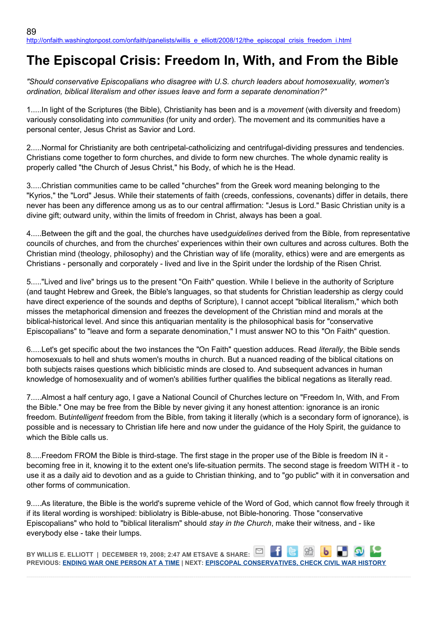## **The Episcopal Crisis: Freedom In, With, and From the Bible**

*"Should conservative Episcopalians who disagree with U.S. church leaders about homosexuality, women's ordination, biblical literalism and other issues leave and form a separate denomination?"*

1.....In light of the Scriptures (the Bible), Christianity has been and is a *movement* (with diversity and freedom) variously consolidating into *communities* (for unity and order). The movement and its communities have a personal center, Jesus Christ as Savior and Lord.

2.....Normal for Christianity are both centripetal-catholicizing and centrifugal-dividing pressures and tendencies. Christians come together to form churches, and divide to form new churches. The whole dynamic reality is properly called "the Church of Jesus Christ," his Body, of which he is the Head.

3.....Christian communities came to be called "churches" from the Greek word meaning belonging to the "Kyrios," the "Lord" Jesus. While their statements of faith (creeds, confessions, covenants) differ in details, there never has been any difference among us as to our central affirmation: "Jesus is Lord." Basic Christian unity is a divine gift; outward unity, within the limits of freedom in Christ, always has been a goal.

4.....Between the gift and the goal, the churches have used*guidelines* derived from the Bible, from representative councils of churches, and from the churches' experiences within their own cultures and across cultures. Both the Christian mind (theology, philosophy) and the Christian way of life (morality, ethics) were and are emergents as Christians - personally and corporately - lived and live in the Spirit under the lordship of the Risen Christ.

5....."Lived and live" brings us to the present "On Faith" question. While I believe in the authority of Scripture (and taught Hebrew and Greek, the Bible's languages, so that students for Christian leadership as clergy could have direct experience of the sounds and depths of Scripture), I cannot accept "biblical literalism," which both misses the metaphorical dimension and freezes the development of the Christian mind and morals at the biblical-historical level. And since this antiquarian mentality is the philosophical basis for "conservative Episcopalians" to "leave and form a separate denomination," I must answer NO to this "On Faith" question.

6.....Let's get specific about the two instances the "On Faith" question adduces. Read *literally*, the Bible sends homosexuals to hell and shuts women's mouths in church. But a nuanced reading of the biblical citations on both subjects raises questions which biblicistic minds are closed to. And subsequent advances in human knowledge of homosexuality and of women's abilities further qualifies the biblical negations as literally read.

7.....Almost a half century ago, I gave a National Council of Churches lecture on "Freedom In, With, and From the Bible." One may be free from the Bible by never giving it any honest attention: ignorance is an ironic freedom. But*intelligent* freedom from the Bible, from taking it literally (which is a secondary form of ignorance), is possible and is necessary to Christian life here and now under the guidance of the Holy Spirit, the guidance to which the Bible calls us.

8.....Freedom FROM the Bible is third-stage. The first stage in the proper use of the Bible is freedom IN it becoming free in it, knowing it to the extent one's life-situation permits. The second stage is freedom WITH it - to use it as a daily aid to devotion and as a guide to Christian thinking, and to "go public" with it in conversation and other forms of communication.

9.....As literature, the Bible is the world's supreme vehicle of the Word of God, which cannot flow freely through it if its literal wording is worshiped: bibliolatry is Bible-abuse, not Bible-honoring. Those "conservative Episcopalians" who hold to "biblical literalism" should *stay in the Church*, make their witness, and - like everybody else - take their lumps.

**BY WILLIS E. ELLIOTT | DECEMBER 19, 2008; 2:47 AM ETSAVE & SHARE:**  $R = 8R$ **PREVIOUS: [ENDING WAR ONE PERSON AT A TIME](http://onfaith.washingtonpost.com/onfaith/panelists/deepak_chopra/2008/12/becoming_a_peacemaker_1.html) | NEXT: [EPISCOPAL CONSERVATIVES, CHECK CIVIL WAR HISTORY](http://onfaith.washingtonpost.com/onfaith/panelists/susan_brooks_thistlethwaite/2008/12/note_to_episcopal_conservative.html)**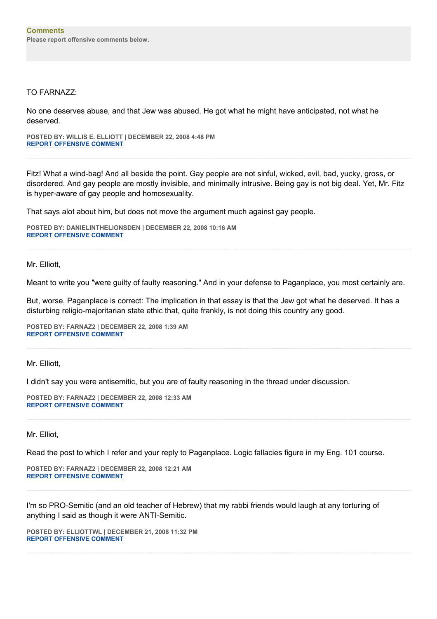## TO FARNAZZ:

No one deserves abuse, and that Jew was abused. He got what he might have anticipated, not what he deserved.

**POSTED BY: WILLIS E. ELLIOTT | DECEMBER 22, 2008 4:48 PM [REPORT OFFENSIVE COMMENT](mailto:blogs@washingtonpost.com?subject=On%20Faith%20Panelists%20Blog%20%20%7C%20%20Willis%20E.%20Elliott%20%20%7C%20%20The%20Episcopal%20Crisis:%20%20Freedom%20In,%20With,%20and%20From%20the%20Bible%20%20%7C%20%204576505&body=%0D%0D%0D%0D%0D================%0D?__mode=view%26_type=comment%26id=4576505%26blog_id=618)**

Fitz! What a wind-bag! And all beside the point. Gay people are not sinful, wicked, evil, bad, yucky, gross, or disordered. And gay people are mostly invisible, and minimally intrusive. Being gay is not big deal. Yet, Mr. Fitz is hyper-aware of gay people and homosexuality.

That says alot about him, but does not move the argument much against gay people.

**POSTED BY: DANIELINTHELIONSDEN | DECEMBER 22, 2008 10:16 AM [REPORT OFFENSIVE COMMENT](mailto:blogs@washingtonpost.com?subject=On%20Faith%20Panelists%20Blog%20%20%7C%20%20DanielintheLionsDen%20%20%7C%20%20The%20Episcopal%20Crisis:%20%20Freedom%20In,%20With,%20and%20From%20the%20Bible%20%20%7C%20%204576313&body=%0D%0D%0D%0D%0D================%0D?__mode=view%26_type=comment%26id=4576313%26blog_id=618)**

Mr. Elliott,

Meant to write you "were guilty of faulty reasoning." And in your defense to Paganplace, you most certainly are.

But, worse, Paganplace is correct: The implication in that essay is that the Jew got what he deserved. It has a disturbing religio-majoritarian state ethic that, quite frankly, is not doing this country any good.

**POSTED BY: FARNAZ2 | DECEMBER 22, 2008 1:39 AM [REPORT OFFENSIVE COMMENT](mailto:blogs@washingtonpost.com?subject=On%20Faith%20Panelists%20Blog%20%20%7C%20%20Farnaz2%20%20%7C%20%20The%20Episcopal%20Crisis:%20%20Freedom%20In,%20With,%20and%20From%20the%20Bible%20%20%7C%20%204576263&body=%0D%0D%0D%0D%0D================%0D?__mode=view%26_type=comment%26id=4576263%26blog_id=618)**

Mr. Elliott,

I didn't say you were antisemitic, but you are of faulty reasoning in the thread under discussion.

**POSTED BY: FARNAZ2 | DECEMBER 22, 2008 12:33 AM [REPORT OFFENSIVE COMMENT](mailto:blogs@washingtonpost.com?subject=On%20Faith%20Panelists%20Blog%20%20%7C%20%20Farnaz2%20%20%7C%20%20The%20Episcopal%20Crisis:%20%20Freedom%20In,%20With,%20and%20From%20the%20Bible%20%20%7C%20%204576251&body=%0D%0D%0D%0D%0D================%0D?__mode=view%26_type=comment%26id=4576251%26blog_id=618)**

Mr. Elliot,

Read the post to which I refer and your reply to Paganplace. Logic fallacies figure in my Eng. 101 course.

**POSTED BY: FARNAZ2 | DECEMBER 22, 2008 12:21 AM [REPORT OFFENSIVE COMMENT](mailto:blogs@washingtonpost.com?subject=On%20Faith%20Panelists%20Blog%20%20%7C%20%20Farnaz2%20%20%7C%20%20The%20Episcopal%20Crisis:%20%20Freedom%20In,%20With,%20and%20From%20the%20Bible%20%20%7C%20%204576248&body=%0D%0D%0D%0D%0D================%0D?__mode=view%26_type=comment%26id=4576248%26blog_id=618)**

I'm so PRO-Semitic (and an old teacher of Hebrew) that my rabbi friends would laugh at any torturing of anything I said as though it were ANTI-Semitic.

**POSTED BY: ELLIOTTWL | DECEMBER 21, 2008 11:32 PM [REPORT OFFENSIVE COMMENT](mailto:blogs@washingtonpost.com?subject=On%20Faith%20Panelists%20Blog%20%20%7C%20%20elliottwl%20%20%7C%20%20The%20Episcopal%20Crisis:%20%20Freedom%20In,%20With,%20and%20From%20the%20Bible%20%20%7C%20%204576231&body=%0D%0D%0D%0D%0D================%0D?__mode=view%26_type=comment%26id=4576231%26blog_id=618)**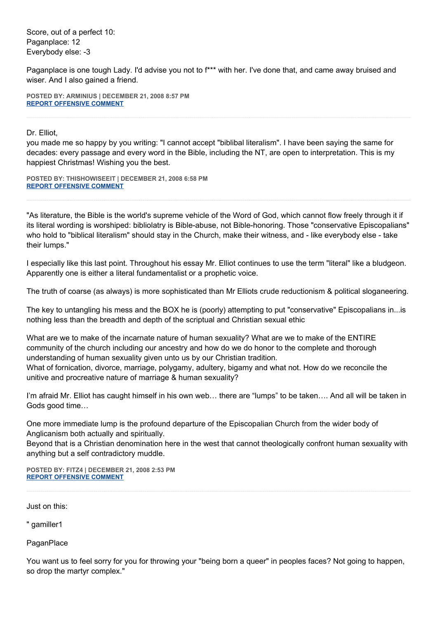Score, out of a perfect 10: Paganplace: 12 Everybody else: -3

Paganplace is one tough Lady. I'd advise you not to f\*\*\* with her. I've done that, and came away bruised and wiser. And I also gained a friend.

**POSTED BY: ARMINIUS | DECEMBER 21, 2008 8:57 PM [REPORT OFFENSIVE COMMENT](mailto:blogs@washingtonpost.com?subject=On%20Faith%20Panelists%20Blog%20%20%7C%20%20Arminius%20%20%7C%20%20The%20Episcopal%20Crisis:%20%20Freedom%20In,%20With,%20and%20From%20the%20Bible%20%20%7C%20%204576200&body=%0D%0D%0D%0D%0D================%0D?__mode=view%26_type=comment%26id=4576200%26blog_id=618)**

Dr. Elliot,

you made me so happy by you writing: "I cannot accept "biblibal literalism". I have been saying the same for decades: every passage and every word in the Bible, including the NT, are open to interpretation. This is my happiest Christmas! Wishing you the best.

**POSTED BY: THISHOWISEEIT | DECEMBER 21, 2008 6:58 PM [REPORT OFFENSIVE COMMENT](mailto:blogs@washingtonpost.com?subject=On%20Faith%20Panelists%20Blog%20%20%7C%20%20ThishowIseeit%20%20%7C%20%20The%20Episcopal%20Crisis:%20%20Freedom%20In,%20With,%20and%20From%20the%20Bible%20%20%7C%20%204576184&body=%0D%0D%0D%0D%0D================%0D?__mode=view%26_type=comment%26id=4576184%26blog_id=618)**

"As literature, the Bible is the world's supreme vehicle of the Word of God, which cannot flow freely through it if its literal wording is worshiped: bibliolatry is Bible-abuse, not Bible-honoring. Those "conservative Episcopalians" who hold to "biblical literalism" should stay in the Church, make their witness, and - like everybody else - take their lumps."

I especially like this last point. Throughout his essay Mr. Elliot continues to use the term "literal" like a bludgeon. Apparently one is either a literal fundamentalist or a prophetic voice.

The truth of coarse (as always) is more sophisticated than Mr Elliots crude reductionism & political sloganeering.

The key to untangling his mess and the BOX he is (poorly) attempting to put "conservative" Episcopalians in...is nothing less than the breadth and depth of the scriptual and Christian sexual ethic

What are we to make of the incarnate nature of human sexuality? What are we to make of the ENTIRE community of the church including our ancestry and how do we do honor to the complete and thorough understanding of human sexuality given unto us by our Christian tradition. What of fornication, divorce, marriage, polygamy, adultery, bigamy and what not. How do we reconcile the unitive and procreative nature of marriage & human sexuality?

I'm afraid Mr. Elliot has caught himself in his own web… there are "lumps" to be taken…. And all will be taken in Gods good time…

One more immediate lump is the profound departure of the Episcopalian Church from the wider body of Anglicanism both actually and spiritually.

Beyond that is a Christian denomination here in the west that cannot theologically confront human sexuality with anything but a self contradictory muddle.

**POSTED BY: FITZ4 | DECEMBER 21, 2008 2:53 PM [REPORT OFFENSIVE COMMENT](mailto:blogs@washingtonpost.com?subject=On%20Faith%20Panelists%20Blog%20%20%7C%20%20Fitz4%20%20%7C%20%20The%20Episcopal%20Crisis:%20%20Freedom%20In,%20With,%20and%20From%20the%20Bible%20%20%7C%20%204576148&body=%0D%0D%0D%0D%0D================%0D?__mode=view%26_type=comment%26id=4576148%26blog_id=618)**

Just on this:

" gamiller1

**PaganPlace** 

You want us to feel sorry for you for throwing your "being born a queer" in peoples faces? Not going to happen, so drop the martyr complex."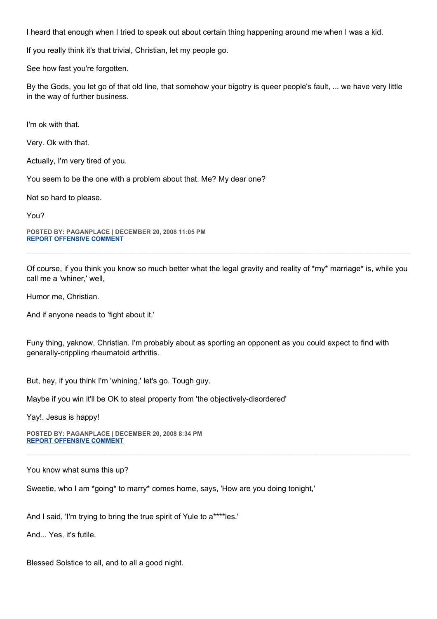I heard that enough when I tried to speak out about certain thing happening around me when I was a kid.

If you really think it's that trivial, Christian, let my people go.

See how fast you're forgotten.

By the Gods, you let go of that old line, that somehow your bigotry is queer people's fault, ... we have very little in the way of further business.

I'm ok with that.

Very. Ok with that.

Actually, I'm very tired of you.

You seem to be the one with a problem about that. Me? My dear one?

Not so hard to please.

You?

**POSTED BY: PAGANPLACE | DECEMBER 20, 2008 11:05 PM [REPORT OFFENSIVE COMMENT](mailto:blogs@washingtonpost.com?subject=On%20Faith%20Panelists%20Blog%20%20%7C%20%20Paganplace%20%20%7C%20%20The%20Episcopal%20Crisis:%20%20Freedom%20In,%20With,%20and%20From%20the%20Bible%20%20%7C%20%204576060&body=%0D%0D%0D%0D%0D================%0D?__mode=view%26_type=comment%26id=4576060%26blog_id=618)**

Of course, if you think you know so much better what the legal gravity and reality of \*my\* marriage\* is, while you call me a 'whiner,' well,

Humor me, Christian.

And if anyone needs to 'fight about it.'

Funy thing, yaknow, Christian. I'm probably about as sporting an opponent as you could expect to find with generally-crippling rheumatoid arthritis.

But, hey, if you think I'm 'whining,' let's go. Tough guy.

Maybe if you win it'll be OK to steal property from 'the objectively-disordered'

Yay!. Jesus is happy!

**POSTED BY: PAGANPLACE | DECEMBER 20, 2008 8:34 PM [REPORT OFFENSIVE COMMENT](mailto:blogs@washingtonpost.com?subject=On%20Faith%20Panelists%20Blog%20%20%7C%20%20Paganplace%20%20%7C%20%20The%20Episcopal%20Crisis:%20%20Freedom%20In,%20With,%20and%20From%20the%20Bible%20%20%7C%20%204576029&body=%0D%0D%0D%0D%0D================%0D?__mode=view%26_type=comment%26id=4576029%26blog_id=618)**

You know what sums this up?

Sweetie, who I am \*going\* to marry\* comes home, says, 'How are you doing tonight,'

And I said, 'I'm trying to bring the true spirit of Yule to a\*\*\*\*les.'

And... Yes, it's futile.

Blessed Solstice to all, and to all a good night.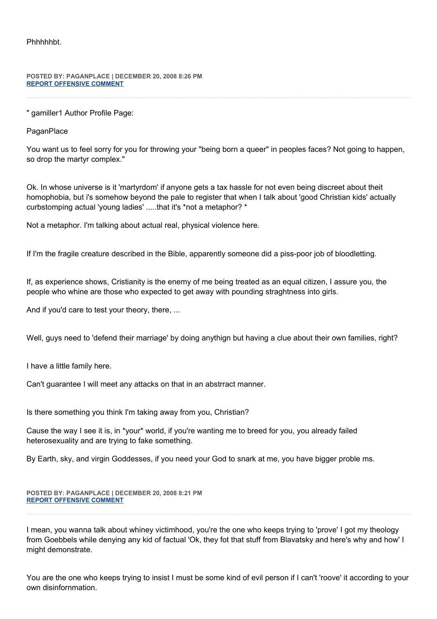Phhhhhbt.

## **POSTED BY: PAGANPLACE | DECEMBER 20, 2008 8:26 PM [REPORT OFFENSIVE COMMENT](mailto:blogs@washingtonpost.com?subject=On%20Faith%20Panelists%20Blog%20%20%7C%20%20Paganplace%20%20%7C%20%20The%20Episcopal%20Crisis:%20%20Freedom%20In,%20With,%20and%20From%20the%20Bible%20%20%7C%20%204576026&body=%0D%0D%0D%0D%0D================%0D?__mode=view%26_type=comment%26id=4576026%26blog_id=618)**

" gamiller1 Author Profile Page:

**PaganPlace** 

You want us to feel sorry for you for throwing your "being born a queer" in peoples faces? Not going to happen, so drop the martyr complex."

Ok. In whose universe is it 'martyrdom' if anyone gets a tax hassle for not even being discreet about theit homophobia, but i's somehow beyond the pale to register that when I talk about 'good Christian kids' actually curbstomping actual 'young ladies' .....that it's \*not a metaphor? \*

Not a metaphor. I'm talking about actual real, physical violence here.

If I'm the fragile creature described in the Bible, apparently someone did a piss-poor job of bloodletting.

If, as experience shows, Cristianity is the enemy of me being treated as an equal citizen, I assure you, the people who whine are those who expected to get away with pounding straghtness into girls.

And if you'd care to test your theory, there, ...

Well, guys need to 'defend their marriage' by doing anythign but having a clue about their own families, right?

I have a little family here.

Can't guarantee I will meet any attacks on that in an abstrract manner.

Is there something you think I'm taking away from you, Christian?

Cause the way I see it is, in \*your\* world, if you're wanting me to breed for you, you already failed heterosexuality and are trying to fake something.

By Earth, sky, and virgin Goddesses, if you need your God to snark at me, you have bigger proble ms.

**POSTED BY: PAGANPLACE | DECEMBER 20, 2008 8:21 PM [REPORT OFFENSIVE COMMENT](mailto:blogs@washingtonpost.com?subject=On%20Faith%20Panelists%20Blog%20%20%7C%20%20Paganplace%20%20%7C%20%20The%20Episcopal%20Crisis:%20%20Freedom%20In,%20With,%20and%20From%20the%20Bible%20%20%7C%20%204576025&body=%0D%0D%0D%0D%0D================%0D?__mode=view%26_type=comment%26id=4576025%26blog_id=618)**

I mean, you wanna talk about whiney victimhood, you're the one who keeps trying to 'prove' I got my theology from Goebbels while denying any kid of factual 'Ok, they fot that stuff from Blavatsky and here's why and how' I might demonstrate.

You are the one who keeps trying to insist I must be some kind of evil person if I can't 'roove' it according to your own disinfornmation.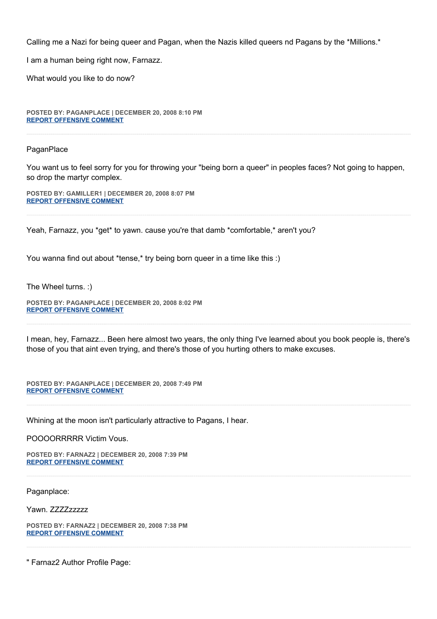Calling me a Nazi for being queer and Pagan, when the Nazis killed queers nd Pagans by the \*Millions.\*

I am a human being right now, Farnazz.

What would you like to do now?

**POSTED BY: PAGANPLACE | DECEMBER 20, 2008 8:10 PM [REPORT OFFENSIVE COMMENT](mailto:blogs@washingtonpost.com?subject=On%20Faith%20Panelists%20Blog%20%20%7C%20%20Paganplace%20%20%7C%20%20The%20Episcopal%20Crisis:%20%20Freedom%20In,%20With,%20and%20From%20the%20Bible%20%20%7C%20%204576021&body=%0D%0D%0D%0D%0D================%0D?__mode=view%26_type=comment%26id=4576021%26blog_id=618)**

**PaganPlace** 

You want us to feel sorry for you for throwing your "being born a queer" in peoples faces? Not going to happen, so drop the martyr complex.

**POSTED BY: GAMILLER1 | DECEMBER 20, 2008 8:07 PM [REPORT OFFENSIVE COMMENT](mailto:blogs@washingtonpost.com?subject=On%20Faith%20Panelists%20Blog%20%20%7C%20%20gamiller1%20%20%7C%20%20The%20Episcopal%20Crisis:%20%20Freedom%20In,%20With,%20and%20From%20the%20Bible%20%20%7C%20%204576020&body=%0D%0D%0D%0D%0D================%0D?__mode=view%26_type=comment%26id=4576020%26blog_id=618)**

Yeah, Farnazz, you \*get\* to yawn. cause you're that damb \*comfortable,\* aren't you?

You wanna find out about \*tense,\* try being born queer in a time like this :)

The Wheel turns. :)

**POSTED BY: PAGANPLACE | DECEMBER 20, 2008 8:02 PM [REPORT OFFENSIVE COMMENT](mailto:blogs@washingtonpost.com?subject=On%20Faith%20Panelists%20Blog%20%20%7C%20%20Paganplace%20%20%7C%20%20The%20Episcopal%20Crisis:%20%20Freedom%20In,%20With,%20and%20From%20the%20Bible%20%20%7C%20%204576017&body=%0D%0D%0D%0D%0D================%0D?__mode=view%26_type=comment%26id=4576017%26blog_id=618)**

I mean, hey, Farnazz... Been here almost two years, the only thing I've learned about you book people is, there's those of you that aint even trying, and there's those of you hurting others to make excuses.

**POSTED BY: PAGANPLACE | DECEMBER 20, 2008 7:49 PM [REPORT OFFENSIVE COMMENT](mailto:blogs@washingtonpost.com?subject=On%20Faith%20Panelists%20Blog%20%20%7C%20%20Paganplace%20%20%7C%20%20The%20Episcopal%20Crisis:%20%20Freedom%20In,%20With,%20and%20From%20the%20Bible%20%20%7C%20%204576014&body=%0D%0D%0D%0D%0D================%0D?__mode=view%26_type=comment%26id=4576014%26blog_id=618)**

Whining at the moon isn't particularly attractive to Pagans, I hear.

POOOORRRRR Victim Vous.

**POSTED BY: FARNAZ2 | DECEMBER 20, 2008 7:39 PM [REPORT OFFENSIVE COMMENT](mailto:blogs@washingtonpost.com?subject=On%20Faith%20Panelists%20Blog%20%20%7C%20%20Farnaz2%20%20%7C%20%20The%20Episcopal%20Crisis:%20%20Freedom%20In,%20With,%20and%20From%20the%20Bible%20%20%7C%20%204576012&body=%0D%0D%0D%0D%0D================%0D?__mode=view%26_type=comment%26id=4576012%26blog_id=618)**

Paganplace:

Yawn. ZZZZzzzzz

**POSTED BY: FARNAZ2 | DECEMBER 20, 2008 7:38 PM [REPORT OFFENSIVE COMMENT](mailto:blogs@washingtonpost.com?subject=On%20Faith%20Panelists%20Blog%20%20%7C%20%20Farnaz2%20%20%7C%20%20The%20Episcopal%20Crisis:%20%20Freedom%20In,%20With,%20and%20From%20the%20Bible%20%20%7C%20%204576011&body=%0D%0D%0D%0D%0D================%0D?__mode=view%26_type=comment%26id=4576011%26blog_id=618)**

" Farnaz2 Author Profile Page: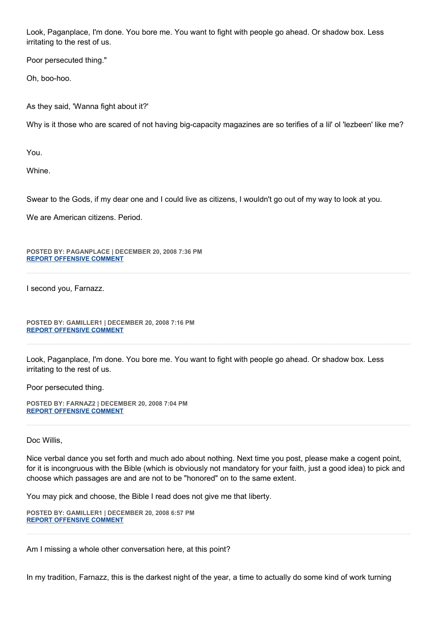Look, Paganplace, I'm done. You bore me. You want to fight with people go ahead. Or shadow box. Less irritating to the rest of us.

Poor persecuted thing."

Oh, boo-hoo.

As they said, 'Wanna fight about it?'

Why is it those who are scared of not having big-capacity magazines are so terifies of a lil' ol 'lezbeen' like me?

You.

Whine.

Swear to the Gods, if my dear one and I could live as citizens, I wouldn't go out of my way to look at you.

We are American citizens. Period.

**POSTED BY: PAGANPLACE | DECEMBER 20, 2008 7:36 PM [REPORT OFFENSIVE COMMENT](mailto:blogs@washingtonpost.com?subject=On%20Faith%20Panelists%20Blog%20%20%7C%20%20Paganplace%20%20%7C%20%20The%20Episcopal%20Crisis:%20%20Freedom%20In,%20With,%20and%20From%20the%20Bible%20%20%7C%20%204576009&body=%0D%0D%0D%0D%0D================%0D?__mode=view%26_type=comment%26id=4576009%26blog_id=618)**

I second you, Farnazz.

**POSTED BY: GAMILLER1 | DECEMBER 20, 2008 7:16 PM [REPORT OFFENSIVE COMMENT](mailto:blogs@washingtonpost.com?subject=On%20Faith%20Panelists%20Blog%20%20%7C%20%20gamiller1%20%20%7C%20%20The%20Episcopal%20Crisis:%20%20Freedom%20In,%20With,%20and%20From%20the%20Bible%20%20%7C%20%204576004&body=%0D%0D%0D%0D%0D================%0D?__mode=view%26_type=comment%26id=4576004%26blog_id=618)**

Look, Paganplace, I'm done. You bore me. You want to fight with people go ahead. Or shadow box. Less irritating to the rest of us.

Poor persecuted thing.

**POSTED BY: FARNAZ2 | DECEMBER 20, 2008 7:04 PM [REPORT OFFENSIVE COMMENT](mailto:blogs@washingtonpost.com?subject=On%20Faith%20Panelists%20Blog%20%20%7C%20%20Farnaz2%20%20%7C%20%20The%20Episcopal%20Crisis:%20%20Freedom%20In,%20With,%20and%20From%20the%20Bible%20%20%7C%20%204575998&body=%0D%0D%0D%0D%0D================%0D?__mode=view%26_type=comment%26id=4575998%26blog_id=618)**

Doc Willis,

Nice verbal dance you set forth and much ado about nothing. Next time you post, please make a cogent point, for it is incongruous with the Bible (which is obviously not mandatory for your faith, just a good idea) to pick and choose which passages are and are not to be "honored" on to the same extent.

You may pick and choose, the Bible I read does not give me that liberty.

**POSTED BY: GAMILLER1 | DECEMBER 20, 2008 6:57 PM [REPORT OFFENSIVE COMMENT](mailto:blogs@washingtonpost.com?subject=On%20Faith%20Panelists%20Blog%20%20%7C%20%20gamiller1%20%20%7C%20%20The%20Episcopal%20Crisis:%20%20Freedom%20In,%20With,%20and%20From%20the%20Bible%20%20%7C%20%204575996&body=%0D%0D%0D%0D%0D================%0D?__mode=view%26_type=comment%26id=4575996%26blog_id=618)**

Am I missing a whole other conversation here, at this point?

In my tradition, Farnazz, this is the darkest night of the year, a time to actually do some kind of work turning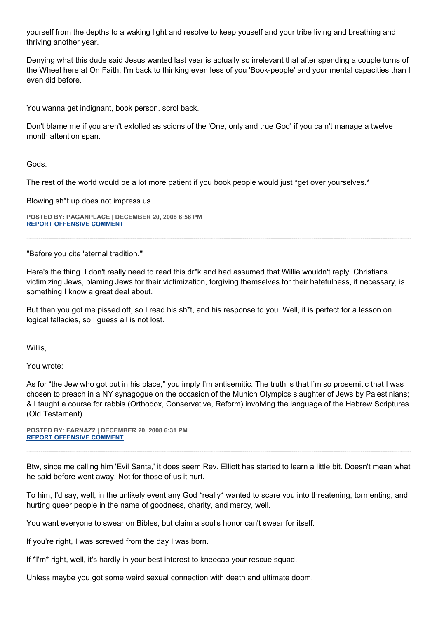yourself from the depths to a waking light and resolve to keep youself and your tribe living and breathing and thriving another year.

Denying what this dude said Jesus wanted last year is actually so irrelevant that after spending a couple turns of the Wheel here at On Faith, I'm back to thinking even less of you 'Book-people' and your mental capacities than I even did before.

You wanna get indignant, book person, scrol back.

Don't blame me if you aren't extolled as scions of the 'One, only and true God' if you ca n't manage a twelve month attention span.

Gods.

The rest of the world would be a lot more patient if you book people would just \*get over yourselves.\*

Blowing sh\*t up does not impress us.

**POSTED BY: PAGANPLACE | DECEMBER 20, 2008 6:56 PM [REPORT OFFENSIVE COMMENT](mailto:blogs@washingtonpost.com?subject=On%20Faith%20Panelists%20Blog%20%20%7C%20%20Paganplace%20%20%7C%20%20The%20Episcopal%20Crisis:%20%20Freedom%20In,%20With,%20and%20From%20the%20Bible%20%20%7C%20%204575995&body=%0D%0D%0D%0D%0D================%0D?__mode=view%26_type=comment%26id=4575995%26blog_id=618)**

"Before you cite 'eternal tradition."'

Here's the thing. I don't really need to read this dr\*k and had assumed that Willie wouldn't reply. Christians victimizing Jews, blaming Jews for their victimization, forgiving themselves for their hatefulness, if necessary, is something I know a great deal about.

But then you got me pissed off, so I read his sh\*t, and his response to you. Well, it is perfect for a lesson on logical fallacies, so I guess all is not lost.

Willis,

You wrote:

As for "the Jew who got put in his place," you imply I'm antisemitic. The truth is that I'm so prosemitic that I was chosen to preach in a NY synagogue on the occasion of the Munich Olympics slaughter of Jews by Palestinians; & I taught a course for rabbis (Orthodox, Conservative, Reform) involving the language of the Hebrew Scriptures (Old Testament)

**POSTED BY: FARNAZ2 | DECEMBER 20, 2008 6:31 PM [REPORT OFFENSIVE COMMENT](mailto:blogs@washingtonpost.com?subject=On%20Faith%20Panelists%20Blog%20%20%7C%20%20Farnaz2%20%20%7C%20%20The%20Episcopal%20Crisis:%20%20Freedom%20In,%20With,%20and%20From%20the%20Bible%20%20%7C%20%204575986&body=%0D%0D%0D%0D%0D================%0D?__mode=view%26_type=comment%26id=4575986%26blog_id=618)**

Btw, since me calling him 'Evil Santa,' it does seem Rev. Elliott has started to learn a little bit. Doesn't mean what he said before went away. Not for those of us it hurt.

To him, I'd say, well, in the unlikely event any God \*really\* wanted to scare you into threatening, tormenting, and hurting queer people in the name of goodness, charity, and mercy, well.

You want everyone to swear on Bibles, but claim a soul's honor can't swear for itself.

If you're right, I was screwed from the day I was born.

If \*I'm\* right, well, it's hardly in your best interest to kneecap your rescue squad.

Unless maybe you got some weird sexual connection with death and ultimate doom.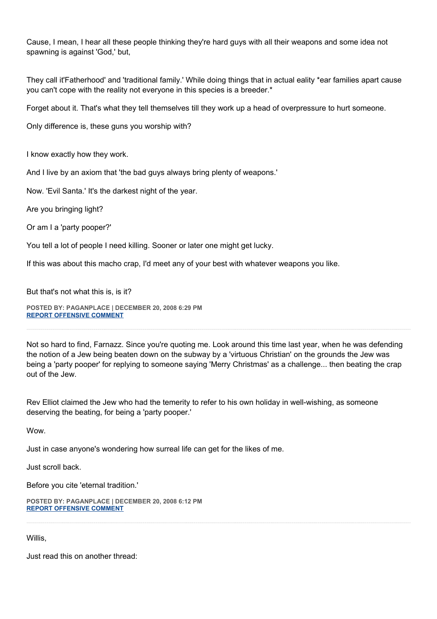Cause, I mean, I hear all these people thinking they're hard guys with all their weapons and some idea not spawning is against 'God,' but,

They call it'Fatherhood' and 'traditional family.' While doing things that in actual eality \*ear families apart cause you can't cope with the reality not everyone in this species is a breeder.\*

Forget about it. That's what they tell themselves till they work up a head of overpressure to hurt someone.

Only difference is, these guns you worship with?

I know exactly how they work.

And I live by an axiom that 'the bad guys always bring plenty of weapons.'

Now. 'Evil Santa.' It's the darkest night of the year.

Are you bringing light?

Or am I a 'party pooper?'

You tell a lot of people I need killing. Sooner or later one might get lucky.

If this was about this macho crap, I'd meet any of your best with whatever weapons you like.

But that's not what this is, is it?

**POSTED BY: PAGANPLACE | DECEMBER 20, 2008 6:29 PM [REPORT OFFENSIVE COMMENT](mailto:blogs@washingtonpost.com?subject=On%20Faith%20Panelists%20Blog%20%20%7C%20%20Paganplace%20%20%7C%20%20The%20Episcopal%20Crisis:%20%20Freedom%20In,%20With,%20and%20From%20the%20Bible%20%20%7C%20%204575985&body=%0D%0D%0D%0D%0D================%0D?__mode=view%26_type=comment%26id=4575985%26blog_id=618)**

Not so hard to find, Farnazz. Since you're quoting me. Look around this time last year, when he was defending the notion of a Jew being beaten down on the subway by a 'virtuous Christian' on the grounds the Jew was being a 'party pooper' for replying to someone saying 'Merry Christmas' as a challenge... then beating the crap out of the Jew.

Rev Elliot claimed the Jew who had the temerity to refer to his own holiday in well-wishing, as someone deserving the beating, for being a 'party pooper.'

Wow.

Just in case anyone's wondering how surreal life can get for the likes of me.

Just scroll back.

Before you cite 'eternal tradition.'

**POSTED BY: PAGANPLACE | DECEMBER 20, 2008 6:12 PM [REPORT OFFENSIVE COMMENT](mailto:blogs@washingtonpost.com?subject=On%20Faith%20Panelists%20Blog%20%20%7C%20%20Paganplace%20%20%7C%20%20The%20Episcopal%20Crisis:%20%20Freedom%20In,%20With,%20and%20From%20the%20Bible%20%20%7C%20%204575984&body=%0D%0D%0D%0D%0D================%0D?__mode=view%26_type=comment%26id=4575984%26blog_id=618)**

Willis,

Just read this on another thread: